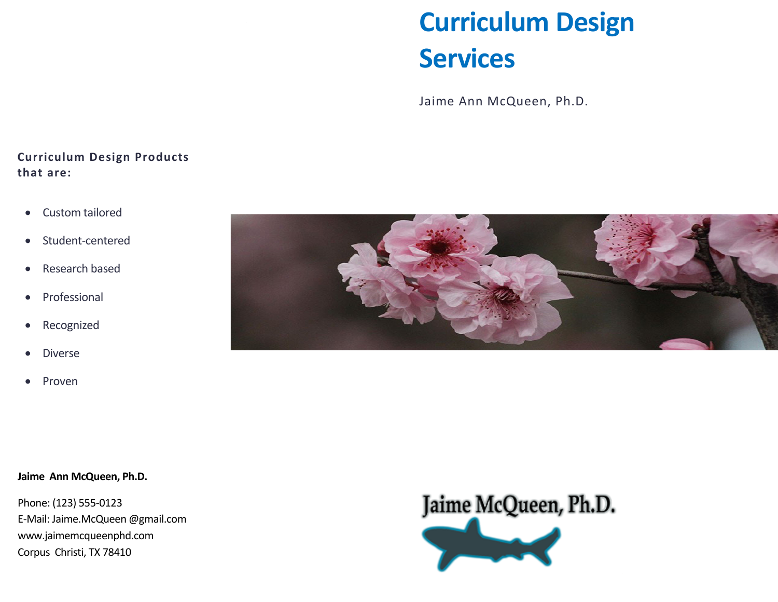# **Curriculum Design Services**

Jaime Ann McQueen, Ph.D.

### **Curriculum Design Products that are:**

- Custom tailored
- Student-centered
- Research based
- Professional
- Recognized
- Diverse
- Proven



#### **Jaime Ann McQueen, Ph.D.**

Phone: (123) 555-0123 E-Mail: Jaime.McQueen @gmail.com www.jaimemcqueenphd.com Corpus Christi, TX 78410